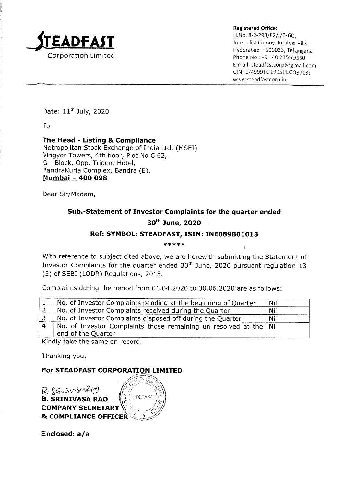

Registered Office: H.No, 8-2-293/82/)/B-60,  $\text{EMPAST}$  and  $\text{Sum}$  and  $\text{Sum}$  and  $\text{Sum}$  and  $\text{Sum}$  and  $\text{Sum}$  and  $\text{Sum}$  and  $\text{Sum}$  and  $\text{Sum}$  and  $\text{Sum}$  and  $\text{Sum}$  and  $\text{Sum}$  and  $\text{Sum}$  and  $\text{Sum}$  and  $\text{Sum}$  and  $\text{Sum}$  and  $\text{Sum}$  and  $\text{Sum}$  and  $\text$ Hyderabad — 500033, Telangana Corporation Limited Phone No : +91 40 23559550 E-mail: steadfastcorp@gmail.com CIN: L74999TG1995PLC037139 www.steadfastcorp.in

Date: 11™ July, 2020

To

The Head - Listing & Compliance Metropolitan Stock Exchange of India Ltd. (MSEI) Vibgyor Towers, 4th floor, Plot No C 62, G - Block, Opp. Trident Hotel, BandraKurla Complex, Bandra (E), Mumbai - 400 098 **EXADELLAST**<br>
Corporation Limited<br>
The Head - Listing & Compliance<br>
Metropolitan Stock Exchange of India Ltd.<br>
Vibgyor Towers, 4th floor, Plot No C 62,<br>
G - Block, Opp. Trident Hotel,<br>
BandraKurla Complex, Bandra (E),<br>
<u>N</u> Corporation Limited<br>
Corporation Limited<br>
Date: 11<sup>th</sup> July, 2020<br>
To<br>
Metropolitan Stock Exchange of India Ltd.<br>
Vibgyor Towers, 4th floor, Plot No C 62,<br>
G - Block, Opp. Trident Hotel,<br>
BandraKurla Complex, Bandra (E),<br> Date: 11<sup>th</sup> July, 2020<br>
To<br>
The Head - Listing & Compliance<br>
Metropolitan Stock Exchange of India Ltd.<br>
Vibgyor Towers, 4th floor, Plot No C 62,<br>
G- Block, Opp. Trident Hotel,<br>
Mumbai - 400 098<br>
Dear Sir/Madam,<br>
Sub.-Stat Corporation Limited<br>
The Head - Listing & Compliance<br>
The Head - Listing & Compliance<br>
Metropolitan Stock Exchange of India Ltd.<br>
Vibgyor Towers, 4th floor, Plot No C 62,<br>
G - Block, Opp. Trident Hotel,<br>
BandraKurla Comple

Dear Sir/Madam,

## Sub.-Statement of Investor Complaints for the quarter ended

## 30" June, 2020

## Ref: SYMBOL: STEADFAST, ISIN: INE089B01013

 $*****$ 

With reference to subject cited above, we are herewith submitting the Statement of Investor Complaints for the quarter ended 30" June, 2020 pursuant regulation 13 (3) of SEBI (LODR) Regulations, 2015.

Complaints during the period from 01.04.2020 to 30.06.2020 are as follows:

| No. of Investor Complaints pending at the beginning of Quarter                                  | <b>Nil</b> |
|-------------------------------------------------------------------------------------------------|------------|
| No. of Investor Complaints received during the Quarter                                          | Nil        |
| No. of Investor Complaints disposed off during the Quarter                                      | Nil        |
| No. of Investor Complaints those remaining un resolved at the $\vert$ Nil<br>end of the Quarter |            |

Kindly take the same on record.

Thanking you,

## For STEADFAST CORPORATION LIMITED

R. Schningerfun B. SRINIVASA RAO **COMPANY SECRETARY & COMPLIANCE OFFICER** 

Enclosed: a/a